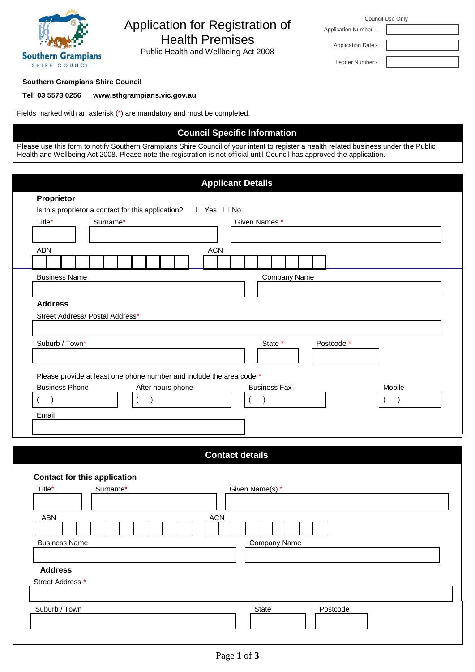

# Application for Registration of Health Premises

Public Health and Wellbeing Act 2008

| Council Use Only |  |  |
|------------------|--|--|
|------------------|--|--|

Application Date:- Ledger Number:-

Application Number :-

## **Southern Grampians Shire Council**

## **Tel: 03 5573 0256 [www.sthgrampians.vic.gov.au](http://www.sthgrampians.vic.gov.au/)**

Fields marked with an asterisk (\*) are mandatory and must be completed.

# **Council Specific Information**

Please use this form to notify Southern Grampians Shire Council of your intent to register a health related business under the Public Health and Wellbeing Act 2008. Please note the registration is not official until Council has approved the application.

|                                                                      |          |                   |                      | <b>Applicant Details</b> |                     |                     |            |  |           |  |
|----------------------------------------------------------------------|----------|-------------------|----------------------|--------------------------|---------------------|---------------------|------------|--|-----------|--|
| Proprietor                                                           |          |                   |                      |                          |                     |                     |            |  |           |  |
| Is this proprietor a contact for this application?                   |          |                   | $\Box$ Yes $\Box$ No |                          |                     |                     |            |  |           |  |
| Title*                                                               | Surname* |                   |                      | Given Names *            |                     |                     |            |  |           |  |
|                                                                      |          |                   |                      |                          |                     |                     |            |  |           |  |
| <b>ABN</b>                                                           |          |                   | <b>ACN</b>           |                          |                     |                     |            |  |           |  |
|                                                                      |          |                   |                      |                          |                     |                     |            |  |           |  |
| <b>Business Name</b>                                                 |          |                   |                      |                          |                     | <b>Company Name</b> |            |  |           |  |
|                                                                      |          |                   |                      |                          |                     |                     |            |  |           |  |
| <b>Address</b>                                                       |          |                   |                      |                          |                     |                     |            |  |           |  |
| Street Address/ Postal Address*                                      |          |                   |                      |                          |                     |                     |            |  |           |  |
|                                                                      |          |                   |                      |                          |                     |                     |            |  |           |  |
| Suburb / Town*                                                       |          |                   |                      |                          | State *             |                     | Postcode * |  |           |  |
|                                                                      |          |                   |                      |                          |                     |                     |            |  |           |  |
|                                                                      |          |                   |                      |                          |                     |                     |            |  |           |  |
| Please provide at least one phone number and include the area code * |          |                   |                      |                          |                     |                     |            |  |           |  |
| <b>Business Phone</b>                                                |          | After hours phone |                      |                          | <b>Business Fax</b> |                     |            |  | Mobile    |  |
|                                                                      |          |                   |                      |                          |                     |                     |            |  |           |  |
| $\lambda$                                                            |          |                   |                      |                          |                     |                     |            |  | $\lambda$ |  |
| Email                                                                |          |                   |                      |                          |                     |                     |            |  |           |  |
|                                                                      |          |                   |                      |                          |                     |                     |            |  |           |  |
|                                                                      |          |                   |                      |                          |                     |                     |            |  |           |  |
|                                                                      |          |                   |                      | <b>Contact details</b>   |                     |                     |            |  |           |  |
|                                                                      |          |                   |                      |                          |                     |                     |            |  |           |  |
| <b>Contact for this application</b>                                  |          |                   |                      |                          |                     |                     |            |  |           |  |
| Title*                                                               | Surname* |                   |                      | Given Name(s) *          |                     |                     |            |  |           |  |
|                                                                      |          |                   |                      |                          |                     |                     |            |  |           |  |
| <b>ABN</b>                                                           |          |                   | <b>ACN</b>           |                          |                     |                     |            |  |           |  |
|                                                                      |          |                   |                      |                          |                     |                     |            |  |           |  |
| <b>Business Name</b>                                                 |          |                   |                      |                          | <b>Company Name</b> |                     |            |  |           |  |
|                                                                      |          |                   |                      |                          |                     |                     |            |  |           |  |
|                                                                      |          |                   |                      |                          |                     |                     |            |  |           |  |
| <b>Address</b>                                                       |          |                   |                      |                          |                     |                     |            |  |           |  |
| Street Address *                                                     |          |                   |                      |                          |                     |                     |            |  |           |  |
|                                                                      |          |                   |                      |                          |                     |                     |            |  |           |  |
| Suburb / Town                                                        |          |                   |                      | State                    |                     |                     | Postcode   |  |           |  |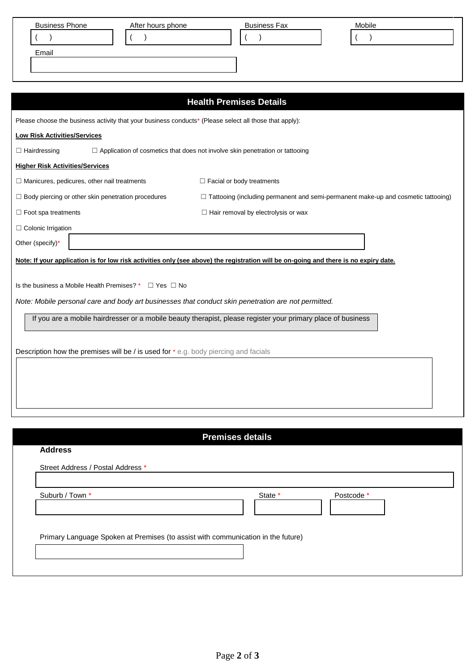| <b>Business Phone</b> | After hours phone | <b>Business Fax</b> | Mobile |  |
|-----------------------|-------------------|---------------------|--------|--|
|                       |                   |                     |        |  |
| Email                 |                   |                     |        |  |
|                       |                   |                     |        |  |
|                       |                   |                     |        |  |

|                                                                                                        | <b>Health Premises Details</b>                                                                                                       |
|--------------------------------------------------------------------------------------------------------|--------------------------------------------------------------------------------------------------------------------------------------|
| Please choose the business activity that your business conducts* (Please select all those that apply): |                                                                                                                                      |
| <b>Low Risk Activities/Services</b>                                                                    |                                                                                                                                      |
| $\Box$ Hairdressing                                                                                    | □ Application of cosmetics that does not involve skin penetration or tattooing                                                       |
| <b>Higher Risk Activities/Services</b>                                                                 |                                                                                                                                      |
| $\Box$ Manicures, pedicures, other nail treatments                                                     | $\Box$ Facial or body treatments                                                                                                     |
| $\Box$ Body piercing or other skin penetration procedures                                              | $\Box$ Tattooing (including permanent and semi-permanent make-up and cosmetic tattooing)                                             |
| $\Box$ Foot spa treatments                                                                             | $\Box$ Hair removal by electrolysis or wax                                                                                           |
| $\Box$ Colonic Irrigation                                                                              |                                                                                                                                      |
| Other (specify)*                                                                                       |                                                                                                                                      |
|                                                                                                        | Note: If your application is for low risk activities only (see above) the registration will be on-going and there is no expiry date. |
|                                                                                                        |                                                                                                                                      |
| Is the business a Mobile Health Premises? *<br>$\Box$ Yes $\Box$ No                                    |                                                                                                                                      |
| Note: Mobile personal care and body art businesses that conduct skin penetration are not permitted.    |                                                                                                                                      |
|                                                                                                        | If you are a mobile hairdresser or a mobile beauty therapist, please register your primary place of business                         |
|                                                                                                        |                                                                                                                                      |
| Description how the premises will be / is used for * e.g. body piercing and facials                    |                                                                                                                                      |
|                                                                                                        |                                                                                                                                      |
|                                                                                                        |                                                                                                                                      |
|                                                                                                        |                                                                                                                                      |
|                                                                                                        |                                                                                                                                      |

| State * | Postcode *                                                                       |                         |
|---------|----------------------------------------------------------------------------------|-------------------------|
|         |                                                                                  |                         |
|         |                                                                                  |                         |
|         | Primary Language Spoken at Premises (to assist with communication in the future) | <b>Premises details</b> |